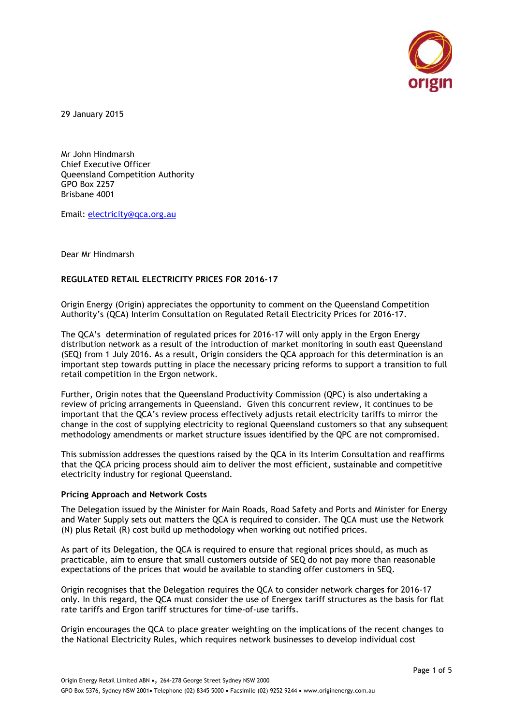

29 January 2015

Mr John Hindmarsh Chief Executive Officer Queensland Competition Authority GPO Box 2257 Brisbane 4001

Email: [electricity@qca.org.au](mailto:electricity@qca.org.au)

Dear Mr Hindmarsh

## **REGULATED RETAIL ELECTRICITY PRICES FOR 2016-17**

Origin Energy (Origin) appreciates the opportunity to comment on the Queensland Competition Authority's (QCA) Interim Consultation on Regulated Retail Electricity Prices for 2016-17.

The QCA's determination of regulated prices for 2016-17 will only apply in the Ergon Energy distribution network as a result of the introduction of market monitoring in south east Queensland (SEQ) from 1 July 2016. As a result, Origin considers the QCA approach for this determination is an important step towards putting in place the necessary pricing reforms to support a transition to full retail competition in the Ergon network.

Further, Origin notes that the Queensland Productivity Commission (QPC) is also undertaking a review of pricing arrangements in Queensland. Given this concurrent review, it continues to be important that the QCA's review process effectively adjusts retail electricity tariffs to mirror the change in the cost of supplying electricity to regional Queensland customers so that any subsequent methodology amendments or market structure issues identified by the QPC are not compromised.

This submission addresses the questions raised by the QCA in its Interim Consultation and reaffirms that the QCA pricing process should aim to deliver the most efficient, sustainable and competitive electricity industry for regional Queensland.

#### **Pricing Approach and Network Costs**

The Delegation issued by the Minister for Main Roads, Road Safety and Ports and Minister for Energy and Water Supply sets out matters the QCA is required to consider. The QCA must use the Network (N) plus Retail (R) cost build up methodology when working out notified prices.

As part of its Delegation, the QCA is required to ensure that regional prices should, as much as practicable, aim to ensure that small customers outside of SEQ do not pay more than reasonable expectations of the prices that would be available to standing offer customers in SEQ.

Origin recognises that the Delegation requires the QCA to consider network charges for 2016-17 only. In this regard, the QCA must consider the use of Energex tariff structures as the basis for flat rate tariffs and Ergon tariff structures for time‐of‐use tariffs.

Origin encourages the QCA to place greater weighting on the implications of the recent changes to the National Electricity Rules, which requires network businesses to develop individual cost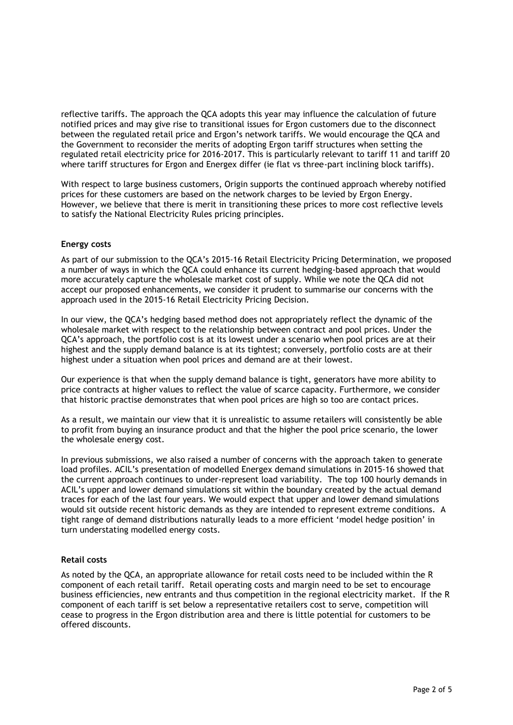reflective tariffs. The approach the QCA adopts this year may influence the calculation of future notified prices and may give rise to transitional issues for Ergon customers due to the disconnect between the regulated retail price and Ergon's network tariffs. We would encourage the QCA and the Government to reconsider the merits of adopting Ergon tariff structures when setting the regulated retail electricity price for 2016-2017. This is particularly relevant to tariff 11 and tariff 20 where tariff structures for Ergon and Energex differ (ie flat vs three-part inclining block tariffs).

With respect to large business customers, Origin supports the continued approach whereby notified prices for these customers are based on the network charges to be levied by Ergon Energy. However, we believe that there is merit in transitioning these prices to more cost reflective levels to satisfy the National Electricity Rules pricing principles.

### **Energy costs**

As part of our submission to the QCA's 2015-16 Retail Electricity Pricing Determination, we proposed a number of ways in which the QCA could enhance its current hedging-based approach that would more accurately capture the wholesale market cost of supply. While we note the QCA did not accept our proposed enhancements, we consider it prudent to summarise our concerns with the approach used in the 2015-16 Retail Electricity Pricing Decision.

In our view, the QCA's hedging based method does not appropriately reflect the dynamic of the wholesale market with respect to the relationship between contract and pool prices. Under the QCA's approach, the portfolio cost is at its lowest under a scenario when pool prices are at their highest and the supply demand balance is at its tightest; conversely, portfolio costs are at their highest under a situation when pool prices and demand are at their lowest.

Our experience is that when the supply demand balance is tight, generators have more ability to price contracts at higher values to reflect the value of scarce capacity. Furthermore, we consider that historic practise demonstrates that when pool prices are high so too are contact prices.

As a result, we maintain our view that it is unrealistic to assume retailers will consistently be able to profit from buying an insurance product and that the higher the pool price scenario, the lower the wholesale energy cost.

In previous submissions, we also raised a number of concerns with the approach taken to generate load profiles. ACIL's presentation of modelled Energex demand simulations in 2015-16 showed that the current approach continues to under-represent load variability. The top 100 hourly demands in ACIL's upper and lower demand simulations sit within the boundary created by the actual demand traces for each of the last four years. We would expect that upper and lower demand simulations would sit outside recent historic demands as they are intended to represent extreme conditions. A tight range of demand distributions naturally leads to a more efficient 'model hedge position' in turn understating modelled energy costs.

# **Retail costs**

As noted by the QCA, an appropriate allowance for retail costs need to be included within the R component of each retail tariff. Retail operating costs and margin need to be set to encourage business efficiencies, new entrants and thus competition in the regional electricity market. If the R component of each tariff is set below a representative retailers cost to serve, competition will cease to progress in the Ergon distribution area and there is little potential for customers to be offered discounts.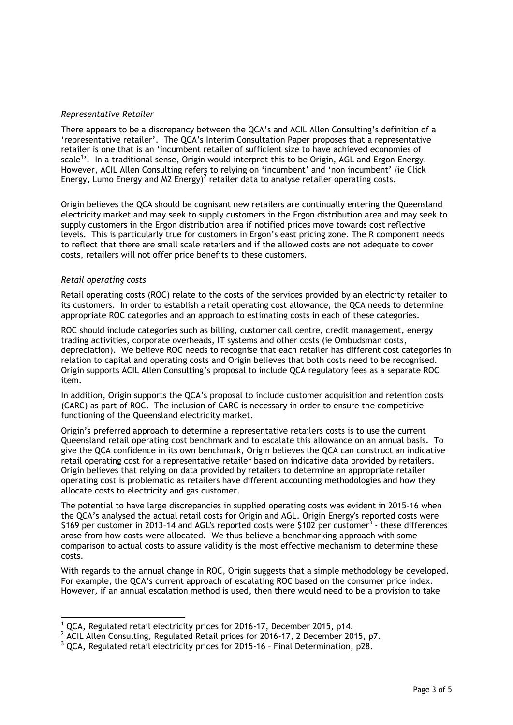# *Representative Retailer*

There appears to be a discrepancy between the QCA's and ACIL Allen Consulting's definition of a 'representative retailer'. The QCA's Interim Consultation Paper proposes that a representative retailer is one that is an 'incumbent retailer of sufficient size to have achieved economies of scale<sup>1</sup>'. In a traditional sense, Origin would interpret this to be Origin, AGL and Ergon Energy. However, ACIL Allen Consulting refers to relying on 'incumbent' and 'non incumbent' (ie Click Energy, Lumo Energy and M2 Energy)<sup>2</sup> retailer data to analyse retailer operating costs.

Origin believes the QCA should be cognisant new retailers are continually entering the Queensland electricity market and may seek to supply customers in the Ergon distribution area and may seek to supply customers in the Ergon distribution area if notified prices move towards cost reflective levels. This is particularly true for customers in Ergon's east pricing zone. The R component needs to reflect that there are small scale retailers and if the allowed costs are not adequate to cover costs, retailers will not offer price benefits to these customers.

#### *Retail operating costs*

 $\overline{a}$ 

Retail operating costs (ROC) relate to the costs of the services provided by an electricity retailer to its customers. In order to establish a retail operating cost allowance, the QCA needs to determine appropriate ROC categories and an approach to estimating costs in each of these categories.

ROC should include categories such as billing, customer call centre, credit management, energy trading activities, corporate overheads, IT systems and other costs (ie Ombudsman costs, depreciation). We believe ROC needs to recognise that each retailer has different cost categories in relation to capital and operating costs and Origin believes that both costs need to be recognised. Origin supports ACIL Allen Consulting's proposal to include QCA regulatory fees as a separate ROC item.

In addition, Origin supports the QCA's proposal to include customer acquisition and retention costs (CARC) as part of ROC. The inclusion of CARC is necessary in order to ensure the competitive functioning of the Queensland electricity market.

Origin's preferred approach to determine a representative retailers costs is to use the current Queensland retail operating cost benchmark and to escalate this allowance on an annual basis. To give the QCA confidence in its own benchmark, Origin believes the QCA can construct an indicative retail operating cost for a representative retailer based on indicative data provided by retailers. Origin believes that relying on data provided by retailers to determine an appropriate retailer operating cost is problematic as retailers have different accounting methodologies and how they allocate costs to electricity and gas customer.

The potential to have large discrepancies in supplied operating costs was evident in 2015-16 when the QCA's analysed the actual retail costs for Origin and AGL. Origin Energy's reported costs were \$169 per customer in 2013-14 and AGL's reported costs were \$102 per customer<sup>3</sup> - these differences arose from how costs were allocated. We thus believe a benchmarking approach with some comparison to actual costs to assure validity is the most effective mechanism to determine these costs.

With regards to the annual change in ROC, Origin suggests that a simple methodology be developed. For example, the QCA's current approach of escalating ROC based on the consumer price index. However, if an annual escalation method is used, then there would need to be a provision to take

<sup>&</sup>lt;sup>1</sup> QCA, Regulated retail electricity prices for 2016-17, December 2015, p14.

 $^2$  ACIL Allen Consulting, Regulated Retail prices for 2016-17, 2 December 2015, p7.

<sup>3</sup> QCA, Regulated retail electricity prices for 2015-16 – Final Determination, p28.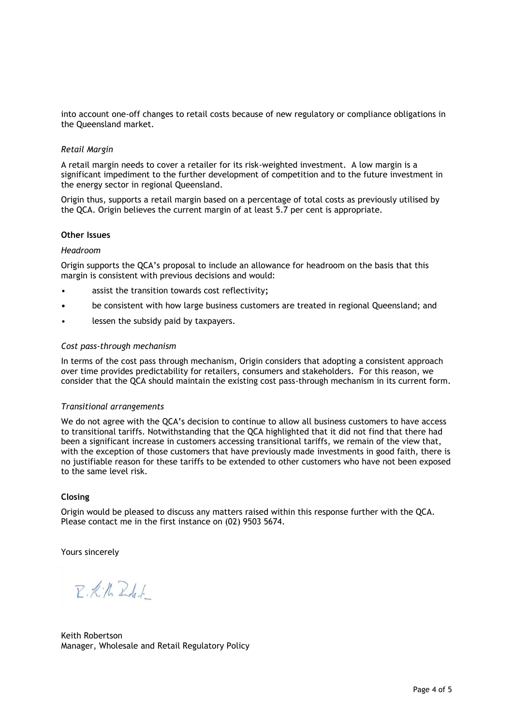into account one-off changes to retail costs because of new regulatory or compliance obligations in the Queensland market.

#### *Retail Margin*

A retail margin needs to cover a retailer for its risk-weighted investment. A low margin is a significant impediment to the further development of competition and to the future investment in the energy sector in regional Queensland.

Origin thus, supports a retail margin based on a percentage of total costs as previously utilised by the QCA. Origin believes the current margin of at least 5.7 per cent is appropriate.

#### **Other Issues**

### *Headroom*

Origin supports the QCA's proposal to include an allowance for headroom on the basis that this margin is consistent with previous decisions and would:

- assist the transition towards cost reflectivity**;**
- **•** be consistent with how large business customers are treated in regional Queensland; and
- lessen the subsidy paid by taxpayers.

#### *Cost pass-through mechanism*

In terms of the cost pass through mechanism, Origin considers that adopting a consistent approach over time provides predictability for retailers, consumers and stakeholders. For this reason, we consider that the QCA should maintain the existing cost pass-through mechanism in its current form.

#### *Transitional arrangements*

We do not agree with the QCA's decision to continue to allow all business customers to have access to transitional tariffs. Notwithstanding that the QCA highlighted that it did not find that there had been a significant increase in customers accessing transitional tariffs, we remain of the view that, with the exception of those customers that have previously made investments in good faith, there is no justifiable reason for these tariffs to be extended to other customers who have not been exposed to the same level risk.

#### **Closing**

Origin would be pleased to discuss any matters raised within this response further with the QCA. Please contact me in the first instance on (02) 9503 5674.

Yours sincerely

 $P. K. h. Z. d.$ 

Keith Robertson Manager, Wholesale and Retail Regulatory Policy